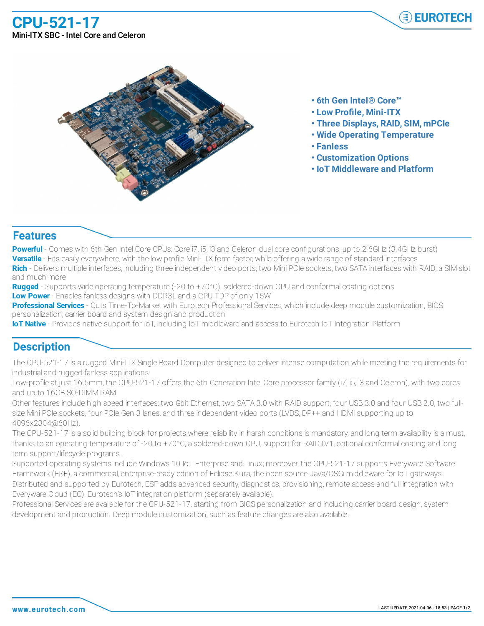**CPU-521-17** Mini-ITX SBC - Intel Core and Celeron





- **• 6th Gen Intel® Core™**
- **• Low Profile, Mini-ITX**
- **• Three Displays, RAID, SIM, mPCIe**
- **• Wide Operating Temperature**
- **• Fanless**
- **• Customization Options**
- **• IoT Middleware and Platform**

## **Features**

**Powerful** - Comes with 6th Gen Intel Core CPUs: Core i7, i5, i3 and Celeron dual core configurations, up to 2.6GHz (3.4GHz burst) **Versatile** - Fits easily everywhere, with the low profile Mini-ITX form factor, while offering a wide range of standard interfaces **Rich** - Delivers multiple interfaces, including three independent video ports, two Mini PCIe sockets, two SATA interfaces with RAID, a SIM slot and much more

**Rugged** - Supports wide operating temperature (-20 to +70°C), soldered-down CPU and conformal coating options **Low Power** - Enables fanless designs with DDR3L and a CPU TDP of only 15W

**Professional Services** - Cuts Time-To-Market with Eurotech Professional Services, which include deep module customization, BIOS personalization, carrier board and system design and production

**IoT Native** - Provides native support for IoT, including IoT middleware and access to Eurotech IoT Integration Platform

## **Description**

The CPU-521-17 is a rugged Mini-ITX Single Board Computer designed to deliver intense computation while meeting the requirements for industrial and rugged fanless applications.

Low-profile at just 16.5mm, the CPU-521-17 offers the 6th Generation Intel Core processor family (i7, i5, i3 and Celeron), with two cores and up to 16GB SO-DIMM RAM.

Other features include high speed interfaces: two Gbit Ethernet, two SATA 3.0 with RAID support, four USB 3.0 and four USB 2.0, two fullsize Mini PCIe sockets, four PCIe Gen 3 lanes, and three independent video ports (LVDS, DP++ and HDMI supporting up to 4096x2304@60Hz).

The CPU-521-17 is a solid building block for projects where reliability in harsh conditions is mandatory, and long term availability is a must, thanks to an operating temperature of -20 to +70°C, a soldered-down CPU, support for RAID 0/1, optional conformal coating and long term support/lifecycle programs.

Supported operating systems include Windows 10 IoT Enterprise and Linux; moreover, the CPU-521-17 supports Everyware Software Framework (ESF), a commercial, enterprise-ready edition of Eclipse Kura, the open source Java/OSGi middleware for IoT gateways. Distributed and supported by Eurotech, ESF adds advanced security, diagnostics, provisioning, remote access and full integration with Everyware Cloud (EC), Eurotech's IoT integration platform (separately available).

Professional Services are available for the CPU-521-17, starting from BIOS personalization and including carrier board design, system development and production. Deep module customization, such as feature changes are also available.